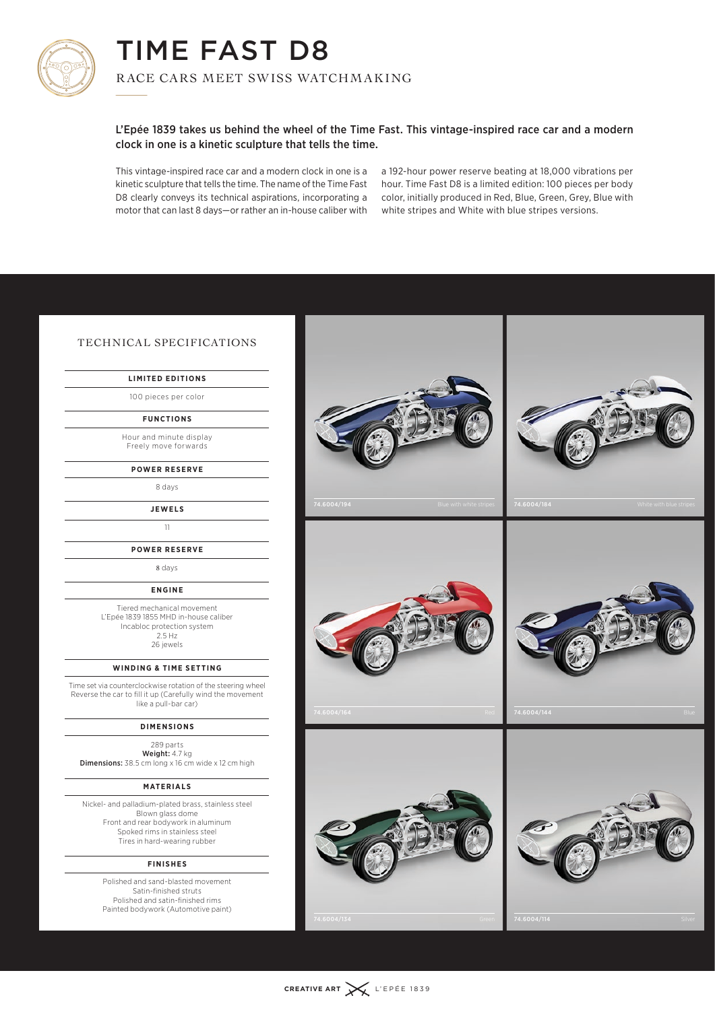

## TIME FAST D8  $\begin{array}{c} \n\blacksquare \n\end{array}$

R ACE CARS MEET SWISS WATCHM AKING

## L'Epée 1839 takes us behind the wheel of the Time Fast. This vintage-inspired race car and a modern clock in one is a kinetic sculpture that tells the time.

This vintage-inspired race car and a modern clock in one is a kinetic sculpture that tells the time. The name of the Time Fast D8 clearly conveys its technical aspirations, incorporating a motor that can last 8 days—or rather an in-house caliber with a 192-hour power reserve beating at 18,000 vibrations per hour. Time Fast D8 is a limited edition: 100 pieces per body color, initially produced in Red, Blue, Green, Grey, Blue with white stripes and White with blue stripes versions.